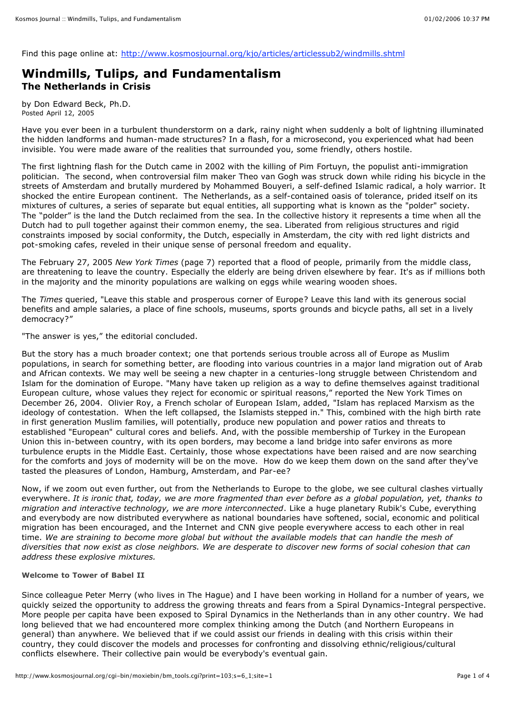Find this page online at: http://www.kosmosjournal.org/kjo/articles/articlessub2/windmills.shtml

# **Windmills, Tulips, and Fundamentalism The Netherlands in Crisis**

by Don Edward Beck, Ph.D. Posted April 12, 2005

Have you ever been in a turbulent thunderstorm on a dark, rainy night when suddenly a bolt of lightning illuminated the hidden landforms and human-made structures? In a flash, for a microsecond, you experienced what had been invisible. You were made aware of the realities that surrounded you, some friendly, others hostile.

The first lightning flash for the Dutch came in 2002 with the killing of Pim Fortuyn, the populist anti-immigration politician. The second, when controversial film maker Theo van Gogh was struck down while riding his bicycle in the streets of Amsterdam and brutally murdered by Mohammed Bouyeri, a self-defined Islamic radical, a holy warrior. It shocked the entire European continent. The Netherlands, as a self-contained oasis of tolerance, prided itself on its mixtures of cultures, a series of separate but equal entities, all supporting what is known as the "polder" society. The "polder" is the land the Dutch reclaimed from the sea. In the collective history it represents a time when all the Dutch had to pull together against their common enemy, the sea. Liberated from religious structures and rigid constraints imposed by social conformity, the Dutch, especially in Amsterdam, the city with red light districts and pot-smoking cafes, reveled in their unique sense of personal freedom and equality.

The February 27, 2005 *New York Times* (page 7) reported that a flood of people, primarily from the middle class, are threatening to leave the country. Especially the elderly are being driven elsewhere by fear. It's as if millions both in the majority and the minority populations are walking on eggs while wearing wooden shoes.

The *Times* queried, "Leave this stable and prosperous corner of Europe? Leave this land with its generous social benefits and ample salaries, a place of fine schools, museums, sports grounds and bicycle paths, all set in a lively democracy?"

"The answer is yes," the editorial concluded.

But the story has a much broader context; one that portends serious trouble across all of Europe as Muslim populations, in search for something better, are flooding into various countries in a major land migration out of Arab and African contexts. We may well be seeing a new chapter in a centuries-long struggle between Christendom and Islam for the domination of Europe. "Many have taken up religion as a way to define themselves against traditional European culture, whose values they reject for economic or spiritual reasons," reported the New York Times on December 26, 2004. Olivier Roy, a French scholar of European Islam, added, "Islam has replaced Marxism as the ideology of contestation. When the left collapsed, the Islamists stepped in." This, combined with the high birth rate in first generation Muslim families, will potentially, produce new population and power ratios and threats to established "European" cultural cores and beliefs. And, with the possible membership of Turkey in the European Union this in-between country, with its open borders, may become a land bridge into safer environs as more turbulence erupts in the Middle East. Certainly, those whose expectations have been raised and are now searching for the comforts and joys of modernity will be on the move. How do we keep them down on the sand after they've tasted the pleasures of London, Hamburg, Amsterdam, and Par-ee?

Now, if we zoom out even further, out from the Netherlands to Europe to the globe, we see cultural clashes virtually everywhere. It is ironic that, today, we are more fragmented than ever before as a global population, yet, thanks to *migration and interactive technology, we are more interconnected*. Like a huge planetary Rubik's Cube, everything and everybody are now distributed everywhere as national boundaries have softened, social, economic and political migration has been encouraged, and the Internet and CNN give people everywhere access to each other in real time. We are straining to become more global but without the available models that can handle the mesh of diversities that now exist as close neighbors. We are desperate to discover new forms of social cohesion that can *address these explosive mixtures.*

### **Welcome to Tower of Babel II**

Since colleague Peter Merry (who lives in The Hague) and I have been working in Holland for a number of years, we quickly seized the opportunity to address the growing threats and fears from a Spiral Dynamics-Integral perspective. More people per capita have been exposed to Spiral Dynamics in the Netherlands than in any other country. We had long believed that we had encountered more complex thinking among the Dutch (and Northern Europeans in general) than anywhere. We believed that if we could assist our friends in dealing with this crisis within their country, they could discover the models and processes for confronting and dissolving ethnic/religious/cultural conflicts elsewhere. Their collective pain would be everybody's eventual gain.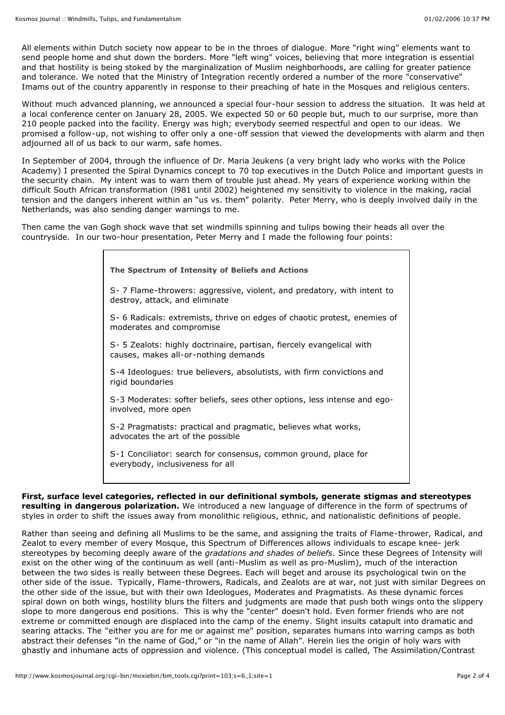All elements within Dutch society now appear to be in the throes of dialogue. More "right wing" elements want to send people home and shut down the borders. More "left wing" voices, believing that more integration is essential and that hostility is being stoked by the marginalization of Muslim neighborhoods, are calling for greater patience and tolerance. We noted that the Ministry of Integration recently ordered a number of the more "conservative" Imams out of the country apparently in response to their preaching of hate in the Mosques and religious centers.

Without much advanced planning, we announced a special four-hour session to address the situation. It was held at a local conference center on January 28, 2005. We expected 50 or 60 people but, much to our surprise, more than 210 people packed into the facility. Energy was high; everybody seemed respectful and open to our ideas. We promised a follow-up, not wishing to offer only a one-off session that viewed the developments with alarm and then adjourned all of us back to our warm, safe homes.

In September of 2004, through the influence of Dr. Maria Jeukens (a very bright lady who works with the Police Academy) I presented the Spiral Dynamics concept to 70 top executives in the Dutch Police and important guests in the security chain. My intent was to warn them of trouble just ahead. My years of experience working within the difficult South African transformation (l981 until 2002) heightened my sensitivity to violence in the making, racial tension and the dangers inherent within an "us vs. them" polarity. Peter Merry, who is deeply involved daily in the Netherlands, was also sending danger warnings to me.

Then came the van Gogh shock wave that set windmills spinning and tulips bowing their heads all over the countryside. In our two-hour presentation, Peter Merry and I made the following four points:

| The Spectrum of Intensity of Beliefs and Actions                                                              |
|---------------------------------------------------------------------------------------------------------------|
| S- 7 Flame-throwers: aggressive, violent, and predatory, with intent to<br>destroy, attack, and eliminate     |
| S- 6 Radicals: extremists, thrive on edges of chaotic protest, enemies of<br>moderates and compromise         |
| S- 5 Zealots: highly doctrinaire, partisan, fiercely evangelical with<br>causes, makes all-or-nothing demands |
| S-4 Ideologues: true believers, absolutists, with firm convictions and<br>rigid boundaries                    |
| S-3 Moderates: softer beliefs, sees other options, less intense and ego-<br>involved, more open               |
| S-2 Pragmatists: practical and pragmatic, believes what works,<br>advocates the art of the possible           |
| S-1 Conciliator: search for consensus, common ground, place for<br>everybody, inclusiveness for all           |

## **First, surface level categories, reflected in our definitional symbols, generate stigmas and stereotypes resulting in dangerous polarization.** We introduced a new language of difference in the form of spectrums of

styles in order to shift the issues away from monolithic religious, ethnic, and nationalistic definitions of people.

Rather than seeing and defining all Muslims to be the same, and assigning the traits of Flame-thrower, Radical, and Zealot to every member of every Mosque, this Spectrum of Differences allows individuals to escape knee- jerk stereotypes by becoming deeply aware of the *gradations and shades of beliefs*. Since these Degrees of Intensity will exist on the other wing of the continuum as well (anti-Muslim as well as pro-Muslim), much of the interaction between the two sides is really between these Degrees. Each will beget and arouse its psychological twin on the other side of the issue. Typically, Flame-throwers, Radicals, and Zealots are at war, not just with similar Degrees on the other side of the issue, but with their own Ideologues, Moderates and Pragmatists. As these dynamic forces spiral down on both wings, hostility blurs the filters and judgments are made that push both wings onto the slippery slope to more dangerous end positions. This is why the "center" doesn't hold. Even former friends who are not extreme or committed enough are displaced into the camp of the enemy. Slight insults catapult into dramatic and searing attacks. The "either you are for me or against me" position, separates humans into warring camps as both abstract their defenses "in the name of God," or "in the name of Allah". Herein lies the origin of holy wars with ghastly and inhumane acts of oppression and violence. (This conceptual model is called, The Assimilation/Contrast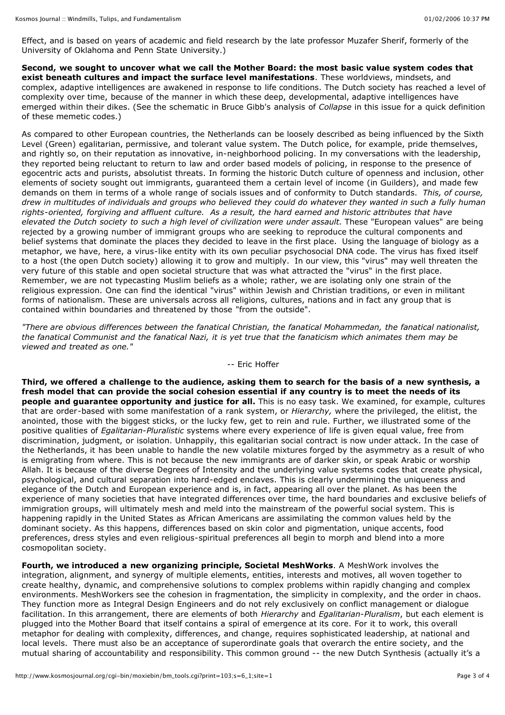Effect, and is based on years of academic and field research by the late professor Muzafer Sherif, formerly of the University of Oklahoma and Penn State University.)

**Second, we sought to uncover what we call the Mother Board: the most basic value system codes that exist beneath cultures and impact the surface level manifestations**. These worldviews, mindsets, and complex, adaptive intelligences are awakened in response to life conditions. The Dutch society has reached a level of complexity over time, because of the manner in which these deep, developmental, adaptive intelligences have emerged within their dikes. (See the schematic in Bruce Gibb's analysis of *Collapse* in this issue for a quick definition of these memetic codes.)

As compared to other European countries, the Netherlands can be loosely described as being influenced by the Sixth Level (Green) egalitarian, permissive, and tolerant value system. The Dutch police, for example, pride themselves, and rightly so, on their reputation as innovative, in-neighborhood policing. In my conversations with the leadership, they reported being reluctant to return to law and order based models of policing, in response to the presence of egocentric acts and purists, absolutist threats. In forming the historic Dutch culture of openness and inclusion, other elements of society sought out immigrants, guaranteed them a certain level of income (in Guilders), and made few demands on them in terms of a whole range of socials issues and of conformity to Dutch standards. *This, of course,* drew in multitudes of individuals and groups who believed they could do whatever they wanted in such a fully human *rights-oriented, forgiving and affluent culture. As a result, the hard earned and historic attributes that have elevated the Dutch society to such a high level of civilization were under assault.* These "European values" are being rejected by a growing number of immigrant groups who are seeking to reproduce the cultural components and belief systems that dominate the places they decided to leave in the first place. Using the language of biology as a metaphor, we have, here, a virus-like entity with its own peculiar psychosocial DNA code. The virus has fixed itself to a host (the open Dutch society) allowing it to grow and multiply. In our view, this "virus" may well threaten the very future of this stable and open societal structure that was what attracted the "virus" in the first place. Remember, we are not typecasting Muslim beliefs as a whole; rather, we are isolating only one strain of the religious expression. One can find the identical "virus" within Jewish and Christian traditions, or even in militant forms of nationalism. These are universals across all religions, cultures, nations and in fact any group that is contained within boundaries and threatened by those "from the outside".

*"There are obvious differences between the fanatical Christian, the fanatical Mohammedan, the fanatical nationalist,* the fanatical Communist and the fanatical Nazi, it is yet true that the fanaticism which animates them may be *viewed and treated as one."*

### -- Eric Hoffer

Third, we offered a challenge to the audience, asking them to search for the basis of a new synthesis, a fresh model that can provide the social cohesion essential if any country is to meet the needs of its **people and guarantee opportunity and justice for all.** This is no easy task. We examined, for example, cultures that are order-based with some manifestation of a rank system, or *Hierarchy,* where the privileged, the elitist, the anointed, those with the biggest sticks, or the lucky few, get to rein and rule. Further, we illustrated some of the positive qualities of *Egalitarian-Pluralistic* systems where every experience of life is given equal value, free from discrimination, judgment, or isolation. Unhappily, this egalitarian social contract is now under attack. In the case of the Netherlands, it has been unable to handle the new volatile mixtures forged by the asymmetry as a result of who is emigrating from where. This is not because the new immigrants are of darker skin, or speak Arabic or worship Allah. It is because of the diverse Degrees of Intensity and the underlying value systems codes that create physical, psychological, and cultural separation into hard-edged enclaves. This is clearly undermining the uniqueness and elegance of the Dutch and European experience and is, in fact, appearing all over the planet. As has been the experience of many societies that have integrated differences over time, the hard boundaries and exclusive beliefs of immigration groups, will ultimately mesh and meld into the mainstream of the powerful social system. This is happening rapidly in the United States as African Americans are assimilating the common values held by the dominant society. As this happens, differences based on skin color and pigmentation, unique accents, food preferences, dress styles and even religious-spiritual preferences all begin to morph and blend into a more cosmopolitan society.

**Fourth, we introduced a new organizing principle, Societal MeshWorks**. A MeshWork involves the integration, alignment, and synergy of multiple elements, entities, interests and motives, all woven together to create healthy, dynamic, and comprehensive solutions to complex problems within rapidly changing and complex environments. MeshWorkers see the cohesion in fragmentation, the simplicity in complexity, and the order in chaos. They function more as Integral Design Engineers and do not rely exclusively on conflict management or dialogue facilitation. In this arrangement, there are elements of both *Hierarchy* and *Egalitarian-Pluralism*, but each element is plugged into the Mother Board that itself contains a spiral of emergence at its core. For it to work, this overall metaphor for dealing with complexity, differences, and change, requires sophisticated leadership, at national and local levels. There must also be an acceptance of superordinate goals that overarch the entire society, and the mutual sharing of accountability and responsibility. This common ground -- the new Dutch Synthesis (actually it's a